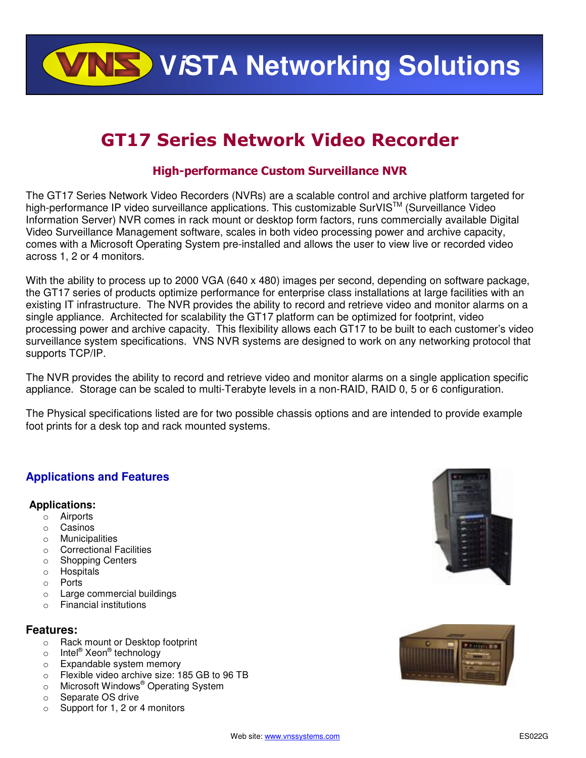**VISTA Networking Solutions** 

# GT17 Series Network Video Recorder

## High-performance Custom Surveillance NVR

The GT17 Series Network Video Recorders (NVRs) are a scalable control and archive platform targeted for high-performance IP video surveillance applications. This customizable SurVIS<sup>TM</sup> (Surveillance Video Information Server) NVR comes in rack mount or desktop form factors, runs commercially available Digital Video Surveillance Management software, scales in both video processing power and archive capacity, comes with a Microsoft Operating System pre-installed and allows the user to view live or recorded video across 1, 2 or 4 monitors.

With the ability to process up to 2000 VGA (640 x 480) images per second, depending on software package, the GT17 series of products optimize performance for enterprise class installations at large facilities with an existing IT infrastructure. The NVR provides the ability to record and retrieve video and monitor alarms on a single appliance. Architected for scalability the GT17 platform can be optimized for footprint, video processing power and archive capacity. This flexibility allows each GT17 to be built to each customer's video surveillance system specifications. VNS NVR systems are designed to work on any networking protocol that supports TCP/IP.

The NVR provides the ability to record and retrieve video and monitor alarms on a single application specific appliance. Storage can be scaled to multi-Terabyte levels in a non-RAID, RAID 0, 5 or 6 configuration.

The Physical specifications listed are for two possible chassis options and are intended to provide example foot prints for a desk top and rack mounted systems.

## **Applications and Features**

## **Applications:**

- o Airports
- o Casinos
- o Municipalities
- o Correctional Facilities
- o Shopping Centers
- o Hospitals
- o Ports
- o Large commercial buildings
- o Financial institutions

## **Features:**

- o Rack mount or Desktop footprint
- o Intel® Xeon® technology
- o Expandable system memory
- o Flexible video archive size: 185 GB to 96 TB o Microsoft Windows® Operating System
- o Microsoft Windows<sup>®</sup> Operating System
- o Separate OS drive
- o Support for 1, 2 or 4 monitors



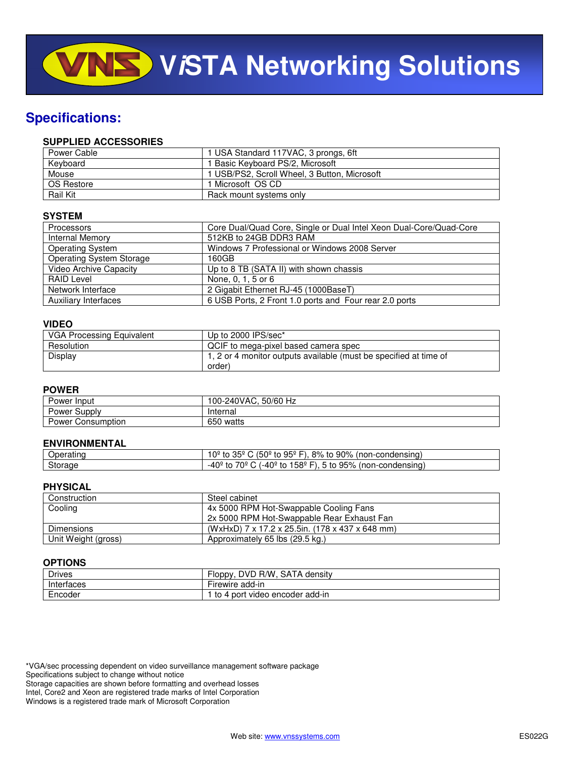## **Specifications:**

#### **SUPPLIED ACCESSORIES**

| Power Cable     | 1 USA Standard 117VAC, 3 prongs, 6ft         |
|-----------------|----------------------------------------------|
| Kevboard        | 1 Basic Keyboard PS/2, Microsoft             |
| Mouse           | 1 USB/PS2, Scroll Wheel, 3 Button, Microsoft |
| OS Restore      | 1 Microsoft OS CD.                           |
| <b>Rail Kit</b> | Rack mount systems only                      |

### **SYSTEM**

| <b>Processors</b>               | Core Dual/Quad Core, Single or Dual Intel Xeon Dual-Core/Quad-Core |
|---------------------------------|--------------------------------------------------------------------|
| Internal Memory                 | 512KB to 24GB DDR3 RAM                                             |
| <b>Operating System</b>         | Windows 7 Professional or Windows 2008 Server                      |
| <b>Operating System Storage</b> | 160GB                                                              |
| Video Archive Capacity          | Up to 8 TB (SATA II) with shown chassis                            |
| RAID Level                      | None, 0, 1, 5 or 6                                                 |
| Network Interface               | 2 Gigabit Ethernet RJ-45 (1000BaseT)                               |
| <b>Auxiliary Interfaces</b>     | 6 USB Ports, 2 Front 1.0 ports and Four rear 2.0 ports             |

#### **VIDEO**

| VGA Processing Equivalent | Up to 2000 IPS/sec*                                               |
|---------------------------|-------------------------------------------------------------------|
| Resolution                | QCIF to mega-pixel based camera spec                              |
| Display                   | 1, 2 or 4 monitor outputs available (must be specified at time of |
|                           | order)                                                            |

#### **POWER**

| Power<br>Input       | 100-240VAC, 50/60 Hz |
|----------------------|----------------------|
| Power Supply         | Internal             |
| Power<br>Consumption | 650 watts            |

#### **ENVIRONMENTAL**

| Jperatınc | $(50^{\circ}$ to $95^{\circ}$<br>90%<br>0 <sup>2</sup><br>8%<br>(non-condensing)<br>うどる<br>، to<br>·⊢\<br>τo<br>ູບ              |
|-----------|---------------------------------------------------------------------------------------------------------------------------------|
| Storage   | 70°<br>100<br>158º<br>$\cdot$ -40 $^{\circ}$ $^{\circ}$<br>95%<br>່ 5 to ປ<br>(non-condensing)<br>to<br>4.1<br>to<br>-4∪<br>. . |

#### **PHYSICAL**

| Construction        | Steel cabinet                                   |
|---------------------|-------------------------------------------------|
| Cooling             | 4x 5000 RPM Hot-Swappable Cooling Fans          |
|                     | 2x 5000 RPM Hot-Swappable Rear Exhaust Fan      |
| <b>Dimensions</b>   | (WxHxD) 7 x 17.2 x 25.5in. (178 x 437 x 648 mm) |
| Unit Weight (gross) | Approximately 65 lbs (29.5 kg.)                 |

#### **OPTIONS**

| <b>Drives</b> | SATA<br>DVD<br>R/W<br>densitv<br>Hoppy  |
|---------------|-----------------------------------------|
| Interfaces    | Firewire add-in                         |
| Encoder       | encoder add-in<br>to 4<br>port<br>video |

\*VGA/sec processing dependent on video surveillance management software package Specifications subject to change without notice Storage capacities are shown before formatting and overhead losses Intel, Core2 and Xeon are registered trade marks of Intel Corporation

Windows is a registered trade mark of Microsoft Corporation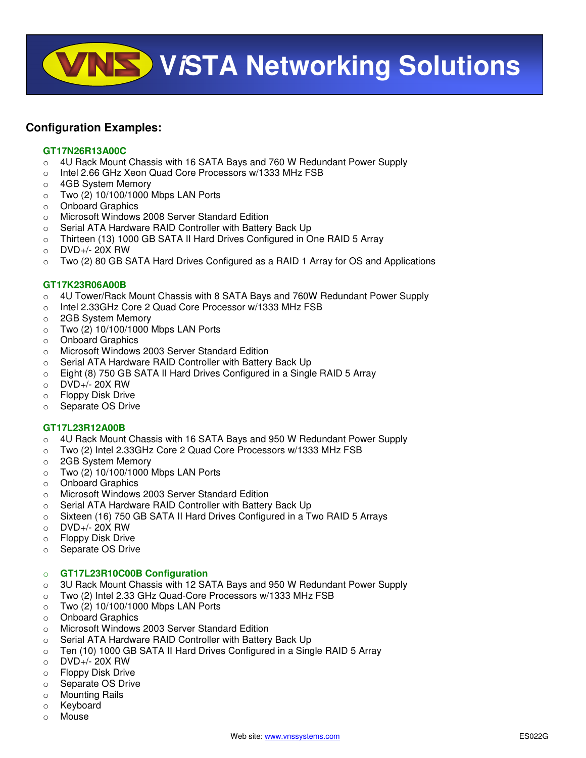**WISTA Networking Solutions** 

## **Configuration Examples:**

#### **GT17N26R13A00C**

- o 4U Rack Mount Chassis with 16 SATA Bays and 760 W Redundant Power Supply
- o Intel 2.66 GHz Xeon Quad Core Processors w/1333 MHz FSB
- o 4GB System Memory
- o Two (2) 10/100/1000 Mbps LAN Ports
- o Onboard Graphics
- o Microsoft Windows 2008 Server Standard Edition
- o Serial ATA Hardware RAID Controller with Battery Back Up
- o Thirteen (13) 1000 GB SATA II Hard Drives Configured in One RAID 5 Array
- $O$  DVD+/- 20X RW
- $\circ$  Two (2) 80 GB SATA Hard Drives Configured as a RAID 1 Array for OS and Applications

#### **GT17K23R06A00B**

- $\circ$  4U Tower/Rack Mount Chassis with 8 SATA Bays and 760W Redundant Power Supply
- o Intel 2.33GHz Core 2 Quad Core Processor w/1333 MHz FSB
- o 2GB System Memory
- o Two (2) 10/100/1000 Mbps LAN Ports
- o Onboard Graphics
- o Microsoft Windows 2003 Server Standard Edition
- o Serial ATA Hardware RAID Controller with Battery Back Up
- $\circ$  Eight (8) 750 GB SATA II Hard Drives Configured in a Single RAID 5 Array
- o DVD+/- 20X RW
- o Floppy Disk Drive
- o Separate OS Drive

#### **GT17L23R12A00B**

- $\circ$  4U Rack Mount Chassis with 16 SATA Bays and 950 W Redundant Power Supply
- o Two (2) Intel 2.33GHz Core 2 Quad Core Processors w/1333 MHz FSB
- o 2GB System Memory
- o Two (2) 10/100/1000 Mbps LAN Ports
- o Onboard Graphics
- o Microsoft Windows 2003 Server Standard Edition
- o Serial ATA Hardware RAID Controller with Battery Back Up
- o Sixteen (16) 750 GB SATA II Hard Drives Configured in a Two RAID 5 Arrays
- $\circ$  DVD+/- 20X RW
- o Floppy Disk Drive
- o Separate OS Drive

#### o **GT17L23R10C00B Configuration**

- o 3U Rack Mount Chassis with 12 SATA Bays and 950 W Redundant Power Supply
- o Two (2) Intel 2.33 GHz Quad-Core Processors w/1333 MHz FSB
- $\circ$  Two (2) 10/100/1000 Mbps LAN Ports
- o Onboard Graphics
- o Microsoft Windows 2003 Server Standard Edition
- o Serial ATA Hardware RAID Controller with Battery Back Up
- o Ten (10) 1000 GB SATA II Hard Drives Configured in a Single RAID 5 Array
- o DVD+/- 20X RW
- o Floppy Disk Drive
- o Separate OS Drive
- o Mounting Rails
- o Keyboard
- o Mouse